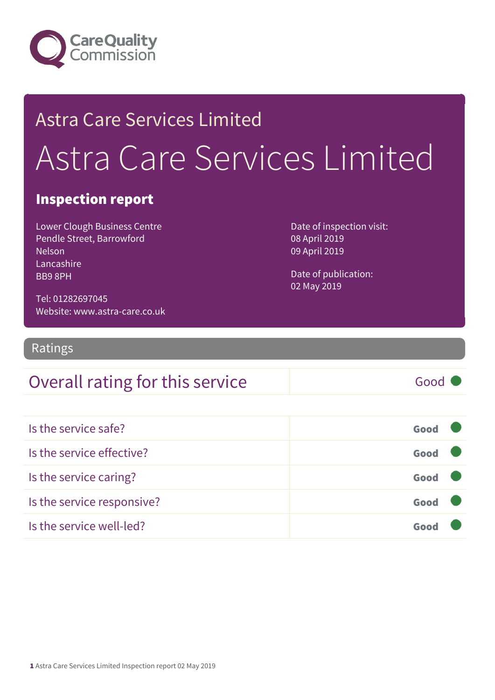

## Astra Care Services Limited Astra Care Services Limited

#### Inspection report

Lower Clough Business Centre Pendle Street, Barrowford Nelson Lancashire BB9 8PH

Date of inspection visit: 08 April 2019 09 April 2019

Date of publication: 02 May 2019

Tel: 01282697045 Website: www.astra-care.co.uk

Ratings

### Overall rating for this service Fig. 6000

| Is the service safe?       | Good |  |
|----------------------------|------|--|
| Is the service effective?  | Good |  |
| Is the service caring?     | Good |  |
| Is the service responsive? | Good |  |
| Is the service well-led?   |      |  |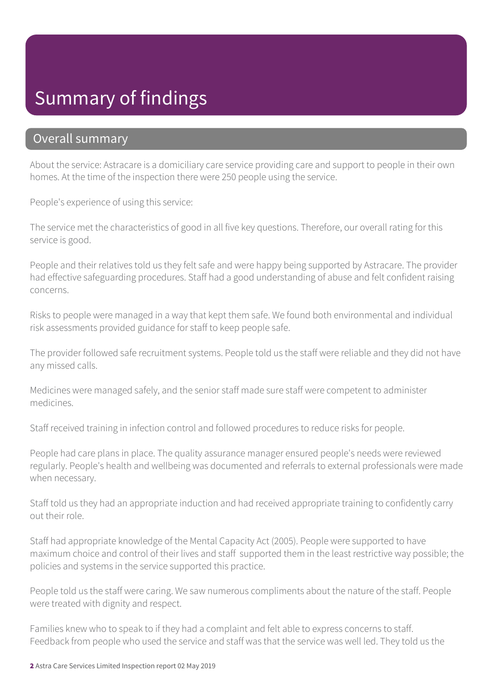### Summary of findings

#### Overall summary

About the service: Astracare is a domiciliary care service providing care and support to people in their own homes. At the time of the inspection there were 250 people using the service.

People's experience of using this service:

The service met the characteristics of good in all five key questions. Therefore, our overall rating for this service is good.

People and their relatives told us they felt safe and were happy being supported by Astracare. The provider had effective safeguarding procedures. Staff had a good understanding of abuse and felt confident raising concerns.

Risks to people were managed in a way that kept them safe. We found both environmental and individual risk assessments provided guidance for staff to keep people safe.

The provider followed safe recruitment systems. People told us the staff were reliable and they did not have any missed calls.

Medicines were managed safely, and the senior staff made sure staff were competent to administer medicines.

Staff received training in infection control and followed procedures to reduce risks for people.

People had care plans in place. The quality assurance manager ensured people's needs were reviewed regularly. People's health and wellbeing was documented and referrals to external professionals were made when necessary.

Staff told us they had an appropriate induction and had received appropriate training to confidently carry out their role.

Staff had appropriate knowledge of the Mental Capacity Act (2005). People were supported to have maximum choice and control of their lives and staff supported them in the least restrictive way possible; the policies and systems in the service supported this practice.

People told us the staff were caring. We saw numerous compliments about the nature of the staff. People were treated with dignity and respect.

Families knew who to speak to if they had a complaint and felt able to express concerns to staff. Feedback from people who used the service and staff was that the service was well led. They told us the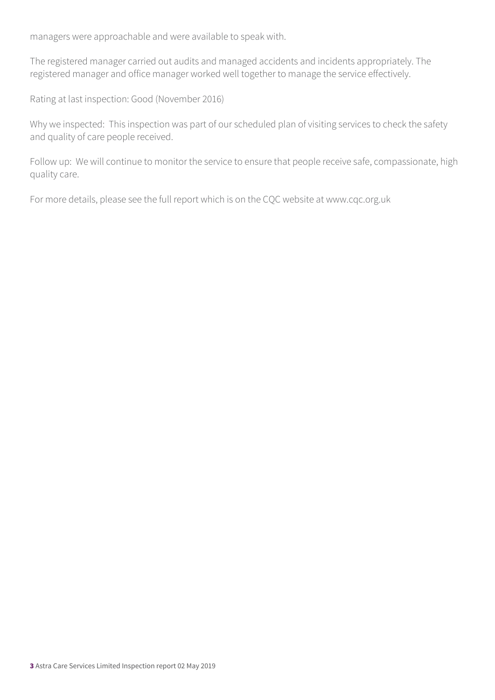managers were approachable and were available to speak with.

The registered manager carried out audits and managed accidents and incidents appropriately. The registered manager and office manager worked well together to manage the service effectively.

Rating at last inspection: Good (November 2016)

Why we inspected: This inspection was part of our scheduled plan of visiting services to check the safety and quality of care people received.

Follow up: We will continue to monitor the service to ensure that people receive safe, compassionate, high quality care.

For more details, please see the full report which is on the CQC website at www.cqc.org.uk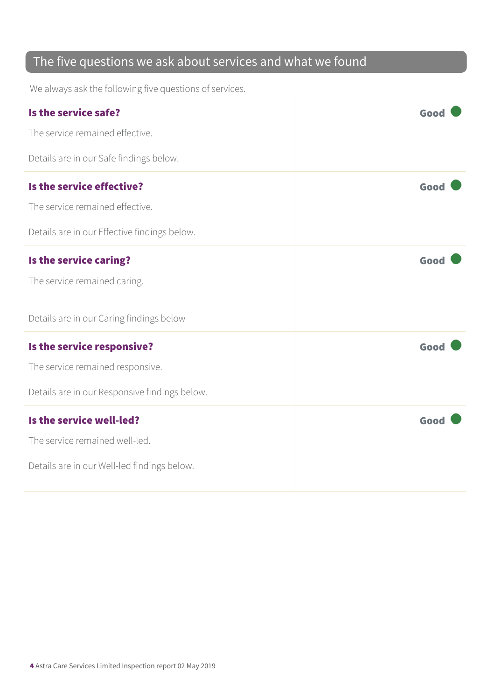### The five questions we ask about services and what we found

We always ask the following five questions of services.

| Is the service safe?                          | Good |
|-----------------------------------------------|------|
| The service remained effective.               |      |
| Details are in our Safe findings below.       |      |
| Is the service effective?                     | Good |
| The service remained effective.               |      |
| Details are in our Effective findings below.  |      |
| Is the service caring?                        | Good |
| The service remained caring.                  |      |
| Details are in our Caring findings below      |      |
| Is the service responsive?                    | Good |
| The service remained responsive.              |      |
| Details are in our Responsive findings below. |      |
| Is the service well-led?                      | Good |
| The service remained well-led.                |      |
| Details are in our Well-led findings below.   |      |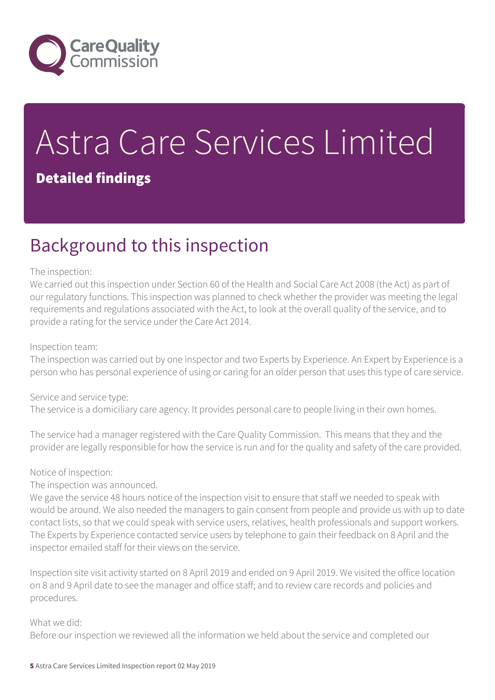

# Astra Care Services Limited

#### Detailed findings

### Background to this inspection

#### The inspection:

We carried out this inspection under Section 60 of the Health and Social Care Act 2008 (the Act) as part of our regulatory functions. This inspection was planned to check whether the provider was meeting the legal requirements and regulations associated with the Act, to look at the overall quality of the service, and to provide a rating for the service under the Care Act 2014.

#### Inspection team:

The inspection was carried out by one inspector and two Experts by Experience. An Expert by Experience is a person who has personal experience of using or caring for an older person that uses this type of care service.

Service and service type:

The service is a domiciliary care agency. It provides personal care to people living in their own homes.

The service had a manager registered with the Care Quality Commission. This means that they and the provider are legally responsible for how the service is run and for the quality and safety of the care provided.

#### Notice of inspection:

The inspection was announced.

We gave the service 48 hours notice of the inspection visit to ensure that staff we needed to speak with would be around. We also needed the managers to gain consent from people and provide us with up to date contact lists, so that we could speak with service users, relatives, health professionals and support workers. The Experts by Experience contacted service users by telephone to gain their feedback on 8 April and the inspector emailed staff for their views on the service.

Inspection site visit activity started on 8 April 2019 and ended on 9 April 2019. We visited the office location on 8 and 9 April date to see the manager and office staff; and to review care records and policies and procedures.

#### What we did:

Before our inspection we reviewed all the information we held about the service and completed our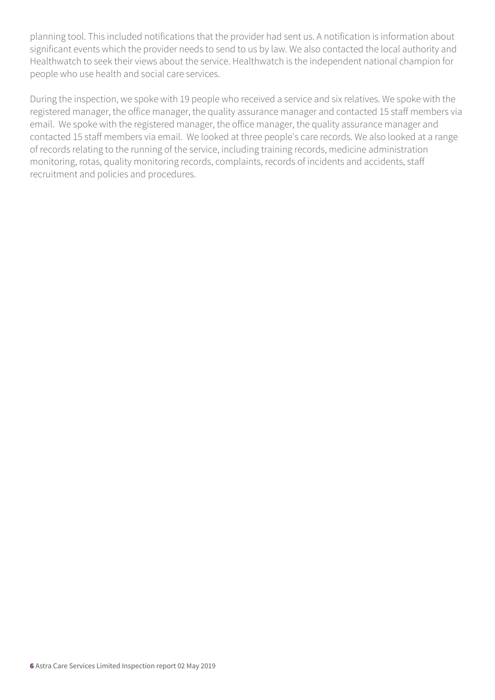planning tool. This included notifications that the provider had sent us. A notification is information about significant events which the provider needs to send to us by law. We also contacted the local authority and Healthwatch to seek their views about the service. Healthwatch is the independent national champion for people who use health and social care services.

During the inspection, we spoke with 19 people who received a service and six relatives. We spoke with the registered manager, the office manager, the quality assurance manager and contacted 15 staff members via email. We spoke with the registered manager, the office manager, the quality assurance manager and contacted 15 staff members via email. We looked at three people's care records. We also looked at a range of records relating to the running of the service, including training records, medicine administration monitoring, rotas, quality monitoring records, complaints, records of incidents and accidents, staff recruitment and policies and procedures.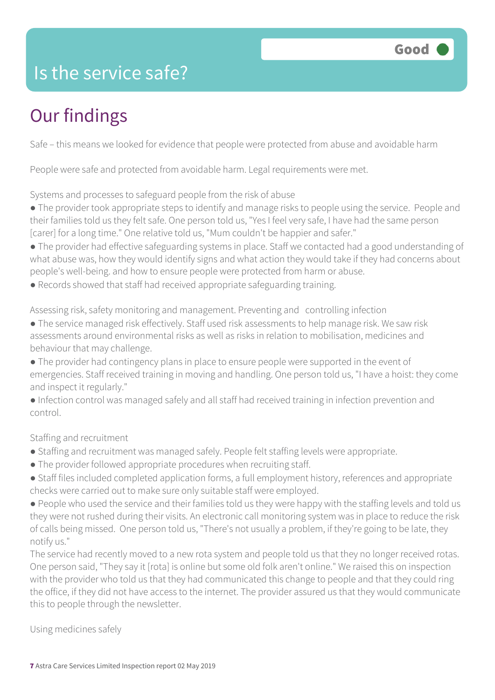### Is the service safe?

### Our findings

Safe – this means we looked for evidence that people were protected from abuse and avoidable harm

People were safe and protected from avoidable harm. Legal requirements were met.

Systems and processes to safeguard people from the risk of abuse

- The provider took appropriate steps to identify and manage risks to people using the service. People and their families told us they felt safe. One person told us, "Yes I feel very safe, I have had the same person [carer] for a long time." One relative told us, "Mum couldn't be happier and safer."
- The provider had effective safeguarding systems in place. Staff we contacted had a good understanding of what abuse was, how they would identify signs and what action they would take if they had concerns about people's well-being. and how to ensure people were protected from harm or abuse.
- Records showed that staff had received appropriate safeguarding training.

Assessing risk, safety monitoring and management. Preventing and controlling infection

- The service managed risk effectively. Staff used risk assessments to help manage risk. We saw risk assessments around environmental risks as well as risks in relation to mobilisation, medicines and behaviour that may challenge.
- The provider had contingency plans in place to ensure people were supported in the event of emergencies. Staff received training in moving and handling. One person told us, "I have a hoist: they come and inspect it regularly."
- Infection control was managed safely and all staff had received training in infection prevention and control.

Staffing and recruitment

- Staffing and recruitment was managed safely. People felt staffing levels were appropriate.
- The provider followed appropriate procedures when recruiting staff.
- Staff files included completed application forms, a full employment history, references and appropriate checks were carried out to make sure only suitable staff were employed.
- People who used the service and their families told us they were happy with the staffing levels and told us they were not rushed during their visits. An electronic call monitoring system was in place to reduce the risk of calls being missed. One person told us, "There's not usually a problem, if they're going to be late, they notify us."

The service had recently moved to a new rota system and people told us that they no longer received rotas. One person said, "They say it [rota] is online but some old folk aren't online." We raised this on inspection with the provider who told us that they had communicated this change to people and that they could ring the office, if they did not have access to the internet. The provider assured us that they would communicate this to people through the newsletter.

Using medicines safely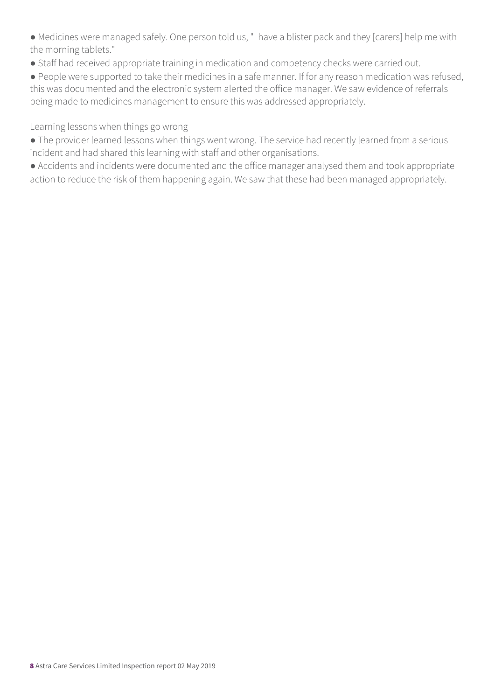● Medicines were managed safely. One person told us, "I have a blister pack and they [carers] help me with the morning tablets."

● Staff had received appropriate training in medication and competency checks were carried out.

● People were supported to take their medicines in a safe manner. If for any reason medication was refused, this was documented and the electronic system alerted the office manager. We saw evidence of referrals being made to medicines management to ensure this was addressed appropriately.

Learning lessons when things go wrong

- The provider learned lessons when things went wrong. The service had recently learned from a serious incident and had shared this learning with staff and other organisations.
- Accidents and incidents were documented and the office manager analysed them and took appropriate action to reduce the risk of them happening again. We saw that these had been managed appropriately.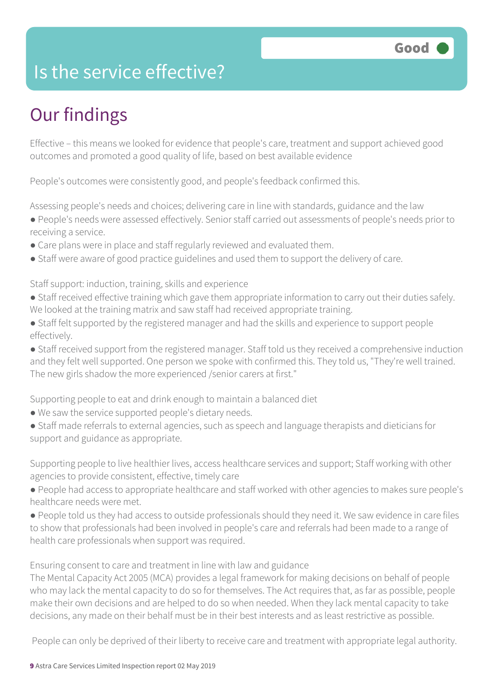### Is the service effective?

### Our findings

Effective – this means we looked for evidence that people's care, treatment and support achieved good outcomes and promoted a good quality of life, based on best available evidence

People's outcomes were consistently good, and people's feedback confirmed this.

Assessing people's needs and choices; delivering care in line with standards, guidance and the law

- People's needs were assessed effectively. Senior staff carried out assessments of people's needs prior to receiving a service.
- Care plans were in place and staff regularly reviewed and evaluated them.
- Staff were aware of good practice guidelines and used them to support the delivery of care.

Staff support: induction, training, skills and experience

- Staff received effective training which gave them appropriate information to carry out their duties safely. We looked at the training matrix and saw staff had received appropriate training.
- Staff felt supported by the registered manager and had the skills and experience to support people effectively.
- Staff received support from the registered manager. Staff told us they received a comprehensive induction and they felt well supported. One person we spoke with confirmed this. They told us, "They're well trained. The new girls shadow the more experienced /senior carers at first."

Supporting people to eat and drink enough to maintain a balanced diet

- We saw the service supported people's dietary needs.
- Staff made referrals to external agencies, such as speech and language therapists and dieticians for support and guidance as appropriate.

Supporting people to live healthier lives, access healthcare services and support; Staff working with other agencies to provide consistent, effective, timely care

- People had access to appropriate healthcare and staff worked with other agencies to makes sure people's healthcare needs were met.
- People told us they had access to outside professionals should they need it. We saw evidence in care files to show that professionals had been involved in people's care and referrals had been made to a range of health care professionals when support was required.

Ensuring consent to care and treatment in line with law and guidance

The Mental Capacity Act 2005 (MCA) provides a legal framework for making decisions on behalf of people who may lack the mental capacity to do so for themselves. The Act requires that, as far as possible, people make their own decisions and are helped to do so when needed. When they lack mental capacity to take decisions, any made on their behalf must be in their best interests and as least restrictive as possible.

People can only be deprived of their liberty to receive care and treatment with appropriate legal authority.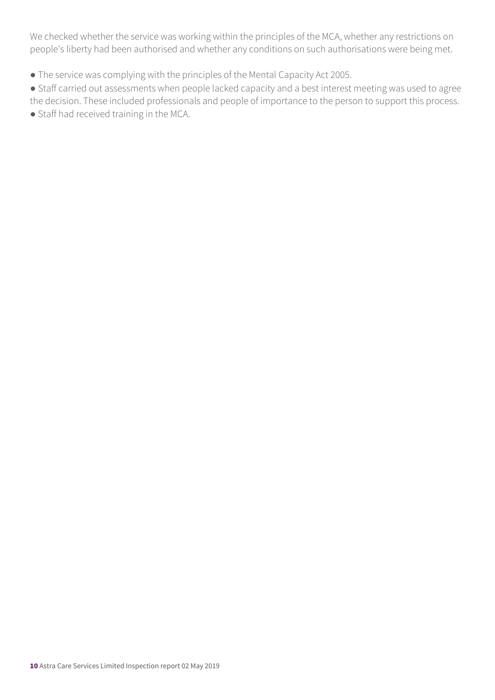We checked whether the service was working within the principles of the MCA, whether any restrictions on people's liberty had been authorised and whether any conditions on such authorisations were being met.

● The service was complying with the principles of the Mental Capacity Act 2005.

● Staff carried out assessments when people lacked capacity and a best interest meeting was used to agree the decision. These included professionals and people of importance to the person to support this process.

● Staff had received training in the MCA.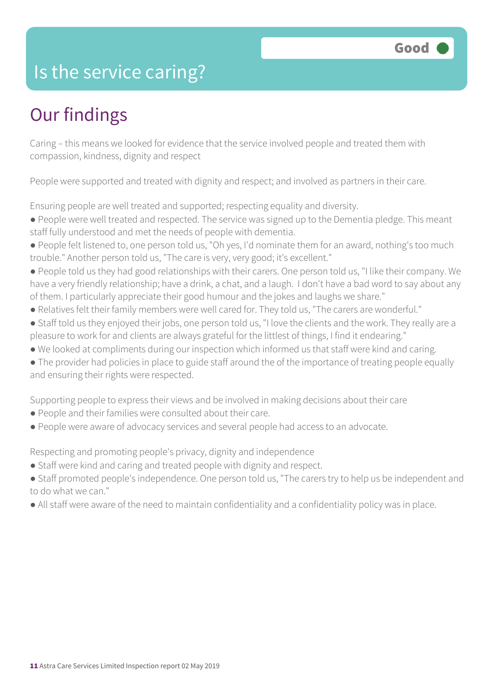### Is the service caring?

### Our findings

Caring – this means we looked for evidence that the service involved people and treated them with compassion, kindness, dignity and respect

People were supported and treated with dignity and respect; and involved as partners in their care.

Ensuring people are well treated and supported; respecting equality and diversity.

- People were well treated and respected. The service was signed up to the Dementia pledge. This meant staff fully understood and met the needs of people with dementia.
- People felt listened to, one person told us, "Oh yes, I'd nominate them for an award, nothing's too much trouble." Another person told us, "The care is very, very good; it's excellent."
- People told us they had good relationships with their carers. One person told us, "I like their company. We have a very friendly relationship; have a drink, a chat, and a laugh. I don't have a bad word to say about any of them. I particularly appreciate their good humour and the jokes and laughs we share."
- Relatives felt their family members were well cared for. They told us, "The carers are wonderful."
- Staff told us they enjoyed their jobs, one person told us, "I love the clients and the work. They really are a pleasure to work for and clients are always grateful for the littlest of things, I find it endearing."
- We looked at compliments during our inspection which informed us that staff were kind and caring.
- The provider had policies in place to guide staff around the of the importance of treating people equally and ensuring their rights were respected.

Supporting people to express their views and be involved in making decisions about their care

- People and their families were consulted about their care.
- People were aware of advocacy services and several people had access to an advocate.

Respecting and promoting people's privacy, dignity and independence

- Staff were kind and caring and treated people with dignity and respect.
- Staff promoted people's independence. One person told us, "The carers try to help us be independent and to do what we can."
- All staff were aware of the need to maintain confidentiality and a confidentiality policy was in place.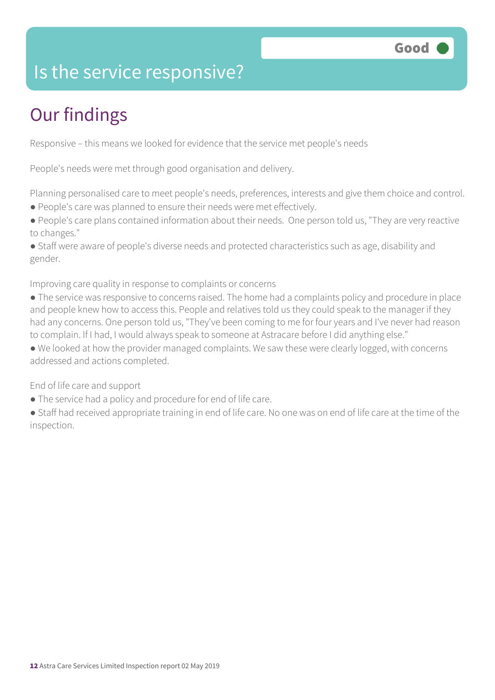### Is the service responsive?

### Our findings

Responsive – this means we looked for evidence that the service met people's needs

People's needs were met through good organisation and delivery.

Planning personalised care to meet people's needs, preferences, interests and give them choice and control.

- People's care was planned to ensure their needs were met effectively.
- People's care plans contained information about their needs. One person told us, "They are very reactive to changes."

● Staff were aware of people's diverse needs and protected characteristics such as age, disability and gender.

Improving care quality in response to complaints or concerns

- The service was responsive to concerns raised. The home had a complaints policy and procedure in place and people knew how to access this. People and relatives told us they could speak to the manager if they had any concerns. One person told us, "They've been coming to me for four years and I've never had reason to complain. If I had, I would always speak to someone at Astracare before I did anything else."
- We looked at how the provider managed complaints. We saw these were clearly logged, with concerns addressed and actions completed.

End of life care and support

- The service had a policy and procedure for end of life care.
- Staff had received appropriate training in end of life care. No one was on end of life care at the time of the inspection.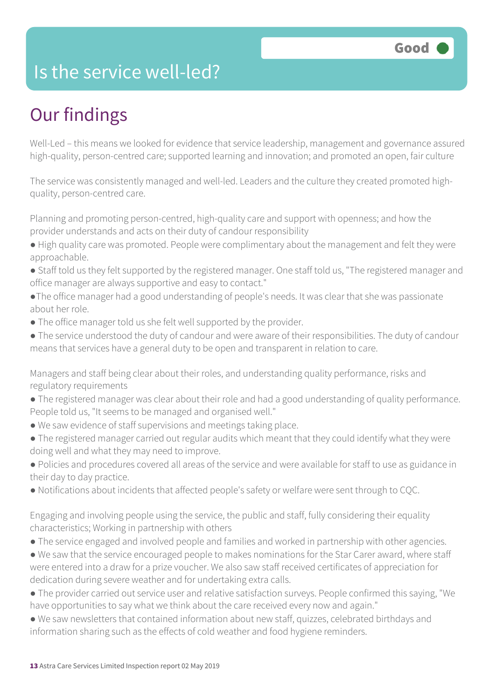### Is the service well-led?

### Our findings

Well-Led – this means we looked for evidence that service leadership, management and governance assured high-quality, person-centred care; supported learning and innovation; and promoted an open, fair culture

The service was consistently managed and well-led. Leaders and the culture they created promoted highquality, person-centred care.

Planning and promoting person-centred, high-quality care and support with openness; and how the provider understands and acts on their duty of candour responsibility

- High quality care was promoted. People were complimentary about the management and felt they were approachable.
- Staff told us they felt supported by the registered manager. One staff told us, "The registered manager and office manager are always supportive and easy to contact."
- ●The office manager had a good understanding of people's needs. It was clear that she was passionate about her role.
- The office manager told us she felt well supported by the provider.
- The service understood the duty of candour and were aware of their responsibilities. The duty of candour means that services have a general duty to be open and transparent in relation to care.

Managers and staff being clear about their roles, and understanding quality performance, risks and regulatory requirements

- The registered manager was clear about their role and had a good understanding of quality performance. People told us, "It seems to be managed and organised well."
- We saw evidence of staff supervisions and meetings taking place.
- The registered manager carried out regular audits which meant that they could identify what they were doing well and what they may need to improve.
- Policies and procedures covered all areas of the service and were available for staff to use as guidance in their day to day practice.
- Notifications about incidents that affected people's safety or welfare were sent through to CQC.

Engaging and involving people using the service, the public and staff, fully considering their equality characteristics; Working in partnership with others

- The service engaged and involved people and families and worked in partnership with other agencies.
- We saw that the service encouraged people to makes nominations for the Star Carer award, where staff were entered into a draw for a prize voucher. We also saw staff received certificates of appreciation for dedication during severe weather and for undertaking extra calls.
- The provider carried out service user and relative satisfaction surveys. People confirmed this saying, "We have opportunities to say what we think about the care received every now and again."
- We saw newsletters that contained information about new staff, quizzes, celebrated birthdays and information sharing such as the effects of cold weather and food hygiene reminders.